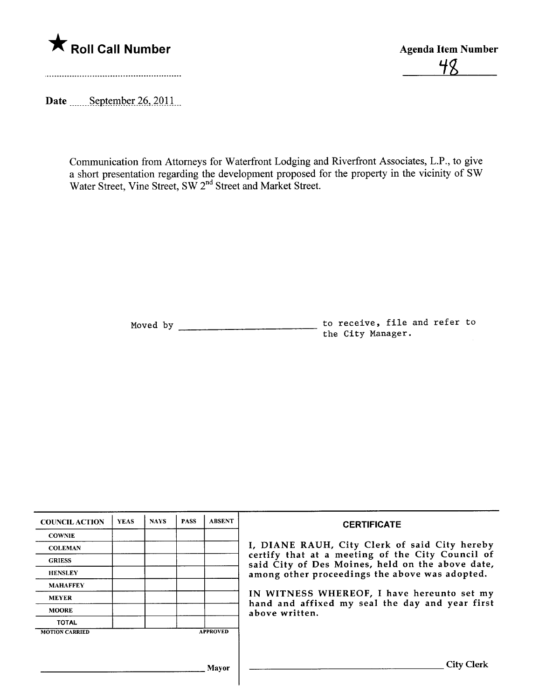

'iß

Date \_\_\_\_\_\_September 26, 2011.

Communication from Attorneys for Waterfront Lodging and Riverfront Associates, L.P., to give a short presentation regarding the development proposed for the property in the vicinity of SW Water Street, Vine Street, SW 2<sup>nd</sup> Street and Market Street.

> Moved by to receive, file and refer to the City Manager.

| <b>COUNCIL ACTION</b> | <b>YEAS</b> | <b>NAYS</b> | <b>PASS</b> | <b>ABSENT</b>   | <b>CERTIFICATE</b>                                                                                                                                                                                                                                                                                                         |
|-----------------------|-------------|-------------|-------------|-----------------|----------------------------------------------------------------------------------------------------------------------------------------------------------------------------------------------------------------------------------------------------------------------------------------------------------------------------|
| <b>COWNIE</b>         |             |             |             |                 |                                                                                                                                                                                                                                                                                                                            |
| <b>COLEMAN</b>        |             |             |             |                 | I, DIANE RAUH, City Clerk of said City hereby<br>certify that at a meeting of the City Council of<br>said City of Des Moines, held on the above date,<br>among other proceedings the above was adopted.<br>IN WITNESS WHEREOF, I have hereunto set my<br>hand and affixed my seal the day and year first<br>above written. |
| <b>GRIESS</b>         |             |             |             |                 |                                                                                                                                                                                                                                                                                                                            |
| <b>HENSLEY</b>        |             |             |             |                 |                                                                                                                                                                                                                                                                                                                            |
| <b>MAHAFFEY</b>       |             |             |             |                 |                                                                                                                                                                                                                                                                                                                            |
| <b>MEYER</b>          |             |             |             |                 |                                                                                                                                                                                                                                                                                                                            |
| <b>MOORE</b>          |             |             |             |                 |                                                                                                                                                                                                                                                                                                                            |
| <b>TOTAL</b>          |             |             |             |                 |                                                                                                                                                                                                                                                                                                                            |
| <b>MOTION CARRIED</b> |             |             |             | <b>APPROVED</b> |                                                                                                                                                                                                                                                                                                                            |
|                       |             |             |             |                 |                                                                                                                                                                                                                                                                                                                            |
| Mavor                 |             |             |             |                 | <b>City Clerk</b>                                                                                                                                                                                                                                                                                                          |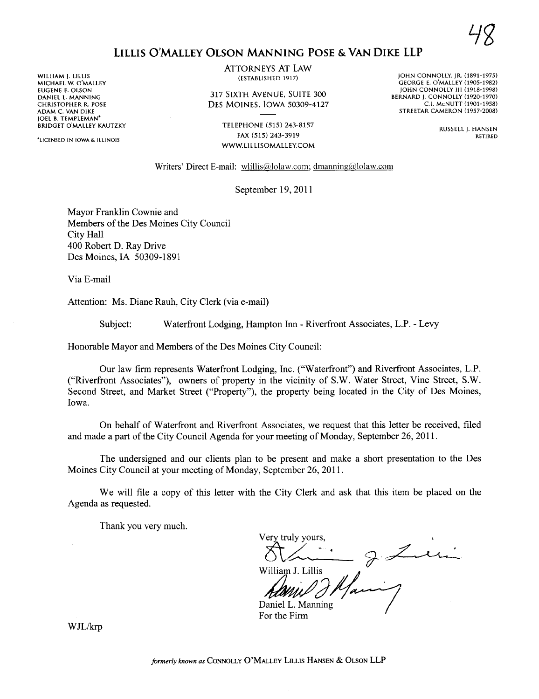## LILLIS O'MALLEY OLSON MANING POSE & VAN DIKE LLP

WILLIAM j. LILLIS MICHAEL W. O'MALLEY EUGENE E. OLSON DANIEL L. MANNING CHRISTOPHER R. POSE ADAM C. VAN DIKE JOEL B. TEMPLEMAN' BRIDGET O'MALLEY KAUTZKY

'LICENSED IN IOWA & ILLINOIS

ATTORNEYS AT LAW (ESTABLISHED 1917)

317 SIXTH AVENUE, SUITE 300 DES MOINES, IOWA 50309-4127

> TELEPHONE (515) 243-8157 FAX (515) 243-3919 WW.LlLLISOMALLEY.COM

JOHN CONNOLLY, jR. (1891-197S) GEORGE E. O'MALLEY (1905-1982) JOHN CONNOLLY iii (1918-1998) BERNARD j. CONNOLLY (1920-1970) C.!. McNUTT (1901-1958) STREETAR CAMERON (1957-2008)

> RUSSELL j. HANSEN RETIRED

Writers' Direct E-mail: wlillis@lolaw.com; dmanning@lolaw.com

September 19, 2011

Mayor Franklin Cownie and Members of the Des Moines City Council City Hall 400 Robert D. Ray Drive Des Moines, IA 50309-1891

Via E-mail

Attention: Ms. Diane Rauh, City Clerk (via e-mail)

Subject: Waterfront Lodging, Hampton In - Riverfront Associates, L.P. - Levy

Honorable Mayor and Members of the Des Moines City Council:

Our law firm represents Waterfront Lodging, Inc. ("Waterfront") and Riverfront Associates, L.P. ("Riverfront Associates"), owners of property in the vicinity of S.W. Water Street, Vine Street, S.W. Second Street, and Market Street ("Property"), the property being located in the City of Des Moines, Iowa.

On behalf of Waterfront and Riverfront Associates, we request that this letter be received, fied and made a part of the City Council Agenda for your meeting of Monday, September 26, 2011.

The undersigned and our clients plan to be present and make a short presentation to the Des Moines City Council at your meeting of Monday, September 26,2011.

We will file a copy of this letter with the City Clerk and ask that this item be placed on the Agenda as requested.

Thank you very much.

Very truly yours,  $\frac{1}{\frac{1}{\sqrt{2}}\sum_{i=1}^{N}}$   $\frac{1}{\sqrt{2}}\sum_{i=1}^{N}$ 

Daniel L. Manning For the Firm

WJL/krp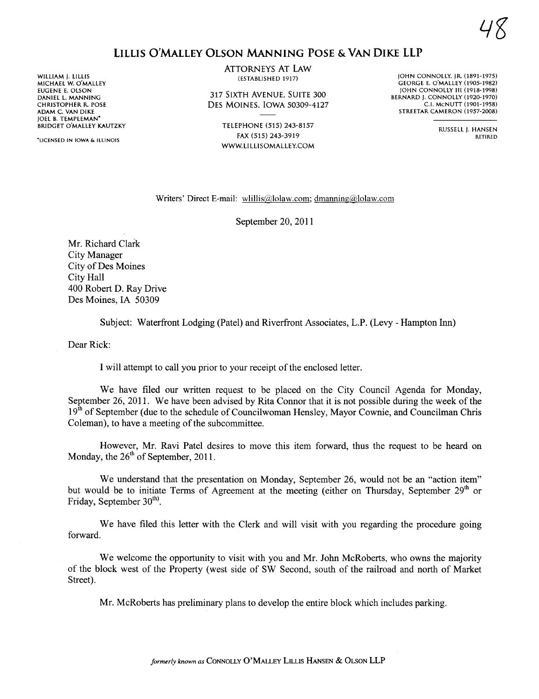## LILLIS O'MALLEY OLSON MANING POSE & VAN DIKE LLP

WILLIAM j. LILLIS MICHAEL W. O'MALLEY EUGENE E. OLSON DANIEL L. MANNING CHRISTOPHER R. POSE ADAM C. VAN DIKE JOEL B. TEMPLEMAN' BRIDGET O'MALLEY KAUTZKY

'LICENSED IN IOWA & ILLINOIS

ATTORNEYS AT LAW (ESTABLISHED 1917)

317 SIXTH AVENUE, SUITE 300 DES MOINES, IOWA 50309-4127

> TELEPHONE (515) 243-8157 FAX (515) 243-3919 WW.LlLLlSOMALLEY.COM

JOHN CONNOLLY. jR. (1891-1975) GEORGE E, O'MALLEY (1905-1982) **JOHN CONNOLLY III (1918-1998)** BERNARD J. CONNOLLY (1920-1970) c.!. McNUTT (1901-1958) STREETAR CAMERON (1957-2008)

> RUSSELL j, HANSEN RETIRED

4g

## Writers' Direct E-mail: wlillis@lolaw.com; dmanning@lolaw.com

September 20, 2011

Mr. Richard Clark City Manager City of Des Moines City Hall 400 Robert D. Ray Drive Des Moines, IA 50309

Subject: Waterfront Lodging (Patel) and Riverfront Associates, L.P. (Levy - Hampton Inn)

Dear Rick:

I will attempt to call you prior to your receipt of the enclosed letter.

We have filed our written request to be placed on the City Council Agenda for Monday, September 26, 2011. We have been advised by Rita Connor that it is not possible during the week of the  $19<sup>th</sup>$  of September (due to the schedule of Councilwoman Hensley, Mayor Cownie, and Councilman Chris Coleman), to have a meeting of the subcommittee.

However, Mr. Ravi Patel desires to move this item forward, thus the request to be heard on Monday, the  $26<sup>th</sup>$  of September, 2011.

We understand that the presentation on Monday, September 26, would not be an "action item" but would be to initiate Terms of Agreement at the meeting (either on Thursday, September 29<sup>th</sup> or Friday, September  $30<sup>th</sup>$ .

We have filed this letter with the Clerk and will visit with you regarding the procedure going forward.

We welcome the opportunity to visit with you and Mr. John McRoberts, who owns the majority of the block west of the Property (west side of SW Second, south of the railroad and north of Market Street).

Mr. McRoberts has preliminary plans to develop the entire block which includes parking.